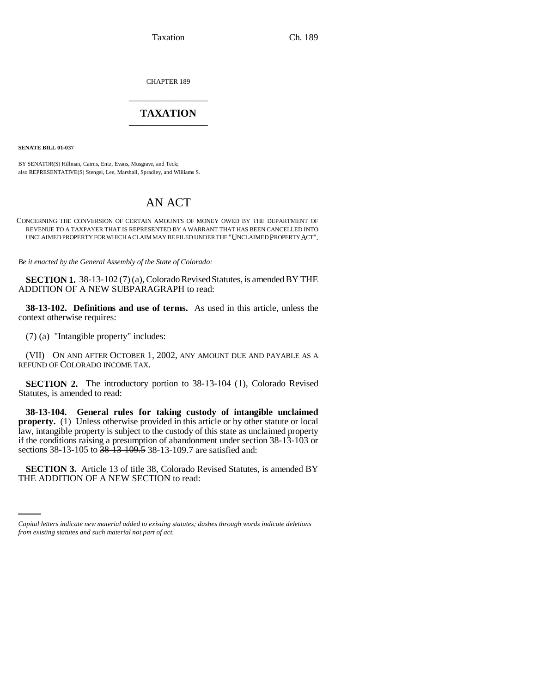Taxation Ch. 189

CHAPTER 189 \_\_\_\_\_\_\_\_\_\_\_\_\_\_\_

## **TAXATION** \_\_\_\_\_\_\_\_\_\_\_\_\_\_\_

**SENATE BILL 01-037**

BY SENATOR(S) Hillman, Cairns, Entz, Evans, Musgrave, and Teck; also REPRESENTATIVE(S) Stengel, Lee, Marshall, Spradley, and Williams S.

## AN ACT

CONCERNING THE CONVERSION OF CERTAIN AMOUNTS OF MONEY OWED BY THE DEPARTMENT OF REVENUE TO A TAXPAYER THAT IS REPRESENTED BY A WARRANT THAT HAS BEEN CANCELLED INTO UNCLAIMED PROPERTY FOR WHICH A CLAIM MAY BE FILED UNDER THE "UNCLAIMED PROPERTY ACT".

*Be it enacted by the General Assembly of the State of Colorado:*

**SECTION 1.** 38-13-102 (7) (a), Colorado Revised Statutes, is amended BY THE ADDITION OF A NEW SUBPARAGRAPH to read:

**38-13-102. Definitions and use of terms.** As used in this article, unless the context otherwise requires:

(7) (a) "Intangible property" includes:

(VII) ON AND AFTER OCTOBER 1, 2002, ANY AMOUNT DUE AND PAYABLE AS A REFUND OF COLORADO INCOME TAX.

**SECTION 2.** The introductory portion to 38-13-104 (1), Colorado Revised Statutes, is amended to read:

**38-13-104. General rules for taking custody of intangible unclaimed property.** (1) Unless otherwise provided in this article or by other statute or local law, intangible property is subject to the custody of this state as unclaimed property if the conditions raising a presumption of abandonment under section 38-13-103 or sections 38-13-105 to 38-13-109.5 38-13-109.7 are satisfied and:

 **SECTION 3.** Article 13 of title 38, Colorado Revised Statutes, is amended BY THE ADDITION OF A NEW SECTION to read:

*Capital letters indicate new material added to existing statutes; dashes through words indicate deletions from existing statutes and such material not part of act.*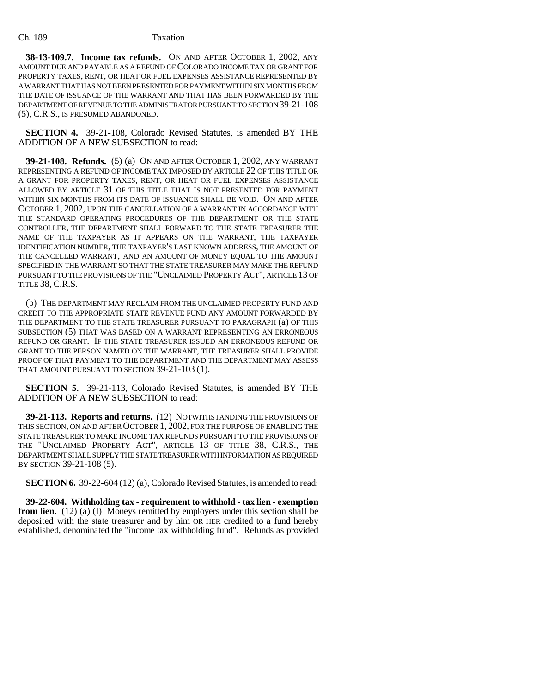**38-13-109.7. Income tax refunds.** ON AND AFTER OCTOBER 1, 2002, ANY AMOUNT DUE AND PAYABLE AS A REFUND OF COLORADO INCOME TAX OR GRANT FOR PROPERTY TAXES, RENT, OR HEAT OR FUEL EXPENSES ASSISTANCE REPRESENTED BY A WARRANT THAT HAS NOT BEEN PRESENTED FOR PAYMENT WITHIN SIX MONTHS FROM THE DATE OF ISSUANCE OF THE WARRANT AND THAT HAS BEEN FORWARDED BY THE DEPARTMENT OF REVENUE TO THE ADMINISTRATOR PURSUANT TO SECTION 39-21-108 (5), C.R.S., IS PRESUMED ABANDONED.

**SECTION 4.** 39-21-108, Colorado Revised Statutes, is amended BY THE ADDITION OF A NEW SUBSECTION to read:

**39-21-108. Refunds.** (5) (a) ON AND AFTER OCTOBER 1, 2002, ANY WARRANT REPRESENTING A REFUND OF INCOME TAX IMPOSED BY ARTICLE 22 OF THIS TITLE OR A GRANT FOR PROPERTY TAXES, RENT, OR HEAT OR FUEL EXPENSES ASSISTANCE ALLOWED BY ARTICLE 31 OF THIS TITLE THAT IS NOT PRESENTED FOR PAYMENT WITHIN SIX MONTHS FROM ITS DATE OF ISSUANCE SHALL BE VOID. ON AND AFTER OCTOBER 1, 2002, UPON THE CANCELLATION OF A WARRANT IN ACCORDANCE WITH THE STANDARD OPERATING PROCEDURES OF THE DEPARTMENT OR THE STATE CONTROLLER, THE DEPARTMENT SHALL FORWARD TO THE STATE TREASURER THE NAME OF THE TAXPAYER AS IT APPEARS ON THE WARRANT, THE TAXPAYER IDENTIFICATION NUMBER, THE TAXPAYER'S LAST KNOWN ADDRESS, THE AMOUNT OF THE CANCELLED WARRANT, AND AN AMOUNT OF MONEY EQUAL TO THE AMOUNT SPECIFIED IN THE WARRANT SO THAT THE STATE TREASURER MAY MAKE THE REFUND PURSUANT TO THE PROVISIONS OF THE "UNCLAIMED PROPERTY ACT", ARTICLE 13 OF TITLE 38, C.R.S.

(b) THE DEPARTMENT MAY RECLAIM FROM THE UNCLAIMED PROPERTY FUND AND CREDIT TO THE APPROPRIATE STATE REVENUE FUND ANY AMOUNT FORWARDED BY THE DEPARTMENT TO THE STATE TREASURER PURSUANT TO PARAGRAPH (a) OF THIS SUBSECTION (5) THAT WAS BASED ON A WARRANT REPRESENTING AN ERRONEOUS REFUND OR GRANT. IF THE STATE TREASURER ISSUED AN ERRONEOUS REFUND OR GRANT TO THE PERSON NAMED ON THE WARRANT, THE TREASURER SHALL PROVIDE PROOF OF THAT PAYMENT TO THE DEPARTMENT AND THE DEPARTMENT MAY ASSESS THAT AMOUNT PURSUANT TO SECTION 39-21-103 (1).

**SECTION 5.** 39-21-113, Colorado Revised Statutes, is amended BY THE ADDITION OF A NEW SUBSECTION to read:

**39-21-113. Reports and returns.** (12) NOTWITHSTANDING THE PROVISIONS OF THIS SECTION, ON AND AFTER OCTOBER 1, 2002, FOR THE PURPOSE OF ENABLING THE STATE TREASURER TO MAKE INCOME TAX REFUNDS PURSUANT TO THE PROVISIONS OF THE "UNCLAIMED PROPERTY ACT", ARTICLE 13 OF TITLE 38, C.R.S., THE DEPARTMENT SHALL SUPPLY THE STATE TREASURER WITH INFORMATION AS REQUIRED BY SECTION 39-21-108 (5).

**SECTION 6.** 39-22-604 (12) (a), Colorado Revised Statutes, is amended to read:

**39-22-604. Withholding tax - requirement to withhold - tax lien - exemption from lien.** (12) (a) (I) Moneys remitted by employers under this section shall be deposited with the state treasurer and by him OR HER credited to a fund hereby established, denominated the "income tax withholding fund". Refunds as provided